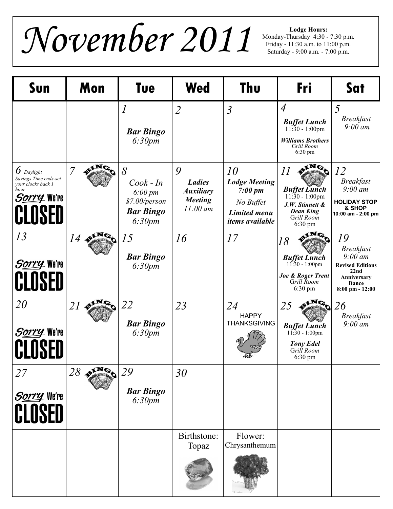$\mathcal{N}ovember$   $2011$   $^{\text{Moday-Thursday 4:30-}}$ 

Monday-Thursday 4:30 - 7:30 p.m. Friday - 11:30 a.m. to 11:00 p.m. Saturday - 9:00 a.m. - 7:00 p.m.

| Sun                                                                                                        | Mon                    | <b>Tue</b>                                                                             | <b>Wed</b>                                                             | Thu                                                                                                 | Fri                                                                                                                       | Sat                                                                                                                        |
|------------------------------------------------------------------------------------------------------------|------------------------|----------------------------------------------------------------------------------------|------------------------------------------------------------------------|-----------------------------------------------------------------------------------------------------|---------------------------------------------------------------------------------------------------------------------------|----------------------------------------------------------------------------------------------------------------------------|
|                                                                                                            |                        | $\boldsymbol{l}$<br><b>Bar Bingo</b><br>6:30pm                                         | $\overline{2}$                                                         | $\mathfrak{Z}$                                                                                      | $\overline{A}$<br><b>Buffet Lunch</b><br>$11:30 - 1:00$ pm<br><b>Williams Brothers</b><br>Grill Room<br>$6:30 \text{ pm}$ | 5<br><b>Breakfast</b><br>$9:00 \text{ }$ am                                                                                |
| $6$ Daylight<br>Savings Time ends-set<br>your clocks back 1<br>hour<br><i>S<u>orry</u></i> We're<br>CLOSED | 7                      | 8<br>$Cook$ - In<br>$6:00 \, \text{pm}$<br>\$7.00/person<br><b>Bar Bingo</b><br>6:30pm | 9<br><b>Ladies</b><br><b>Auxiliary</b><br><b>Meeting</b><br>$11:00$ am | 10<br><b>Lodge Meeting</b><br>7:00~pm<br>No Buffet<br><b>Limited menu</b><br><i>items</i> available | II<br><b>Buffet Lunch</b><br>$11:30 - 1:00$ pm<br>J.W. Stinnett &<br><b>Dean King</b><br>Grill Room<br>$6:30 \text{ pm}$  | 12<br><b>Breakfast</b><br>$9:00 \text{ }$ am<br><b>HOLIDAY STOP</b><br>& SHOP<br>10:00 am - 2:00 pm                        |
| 13<br>Sorry We're<br>CLOSED                                                                                | 14                     | 15<br><b>Bar Bingo</b><br>6:30pm                                                       | 16                                                                     | 17                                                                                                  | $\alpha$<br>18<br><b>Buffet Lunch</b><br>$11:30 - 1:00$ pm<br>Joe & Roger Trent<br>Grill Room<br>6:30 pm                  | 19<br><b>Breakfast</b><br>$9:00 \text{ }$ am<br><b>Revised Editions</b><br>22nd<br>Anniversary<br>Dance<br>8:00 pm - 12:00 |
| <i>20</i><br>Sorry We're<br>CLOSEI                                                                         | 21                     | 22<br><b>Bar Bingo</b><br>6:30pm                                                       | 23                                                                     | 24<br><b>HAPPY</b><br><b>THANKSGIVING</b>                                                           | 25<br><b>Buffet Lunch</b><br>$11:30 - 1:00$ pm<br><b>Tony Edel</b><br>Grill Room<br>$6:30 \text{ pm}$                     | 26<br><b>Breakfast</b><br>$9:00 \text{ }$ am                                                                               |
| 27<br>Sorry We're<br>CLOSED                                                                                | $28 \times 10^{\circ}$ | 29<br><b>Bar Bingo</b><br>6:30pm                                                       | 30                                                                     |                                                                                                     |                                                                                                                           |                                                                                                                            |
|                                                                                                            |                        |                                                                                        | Birthstone:<br>Topaz                                                   | Flower:<br>Chrysanthemum                                                                            |                                                                                                                           |                                                                                                                            |